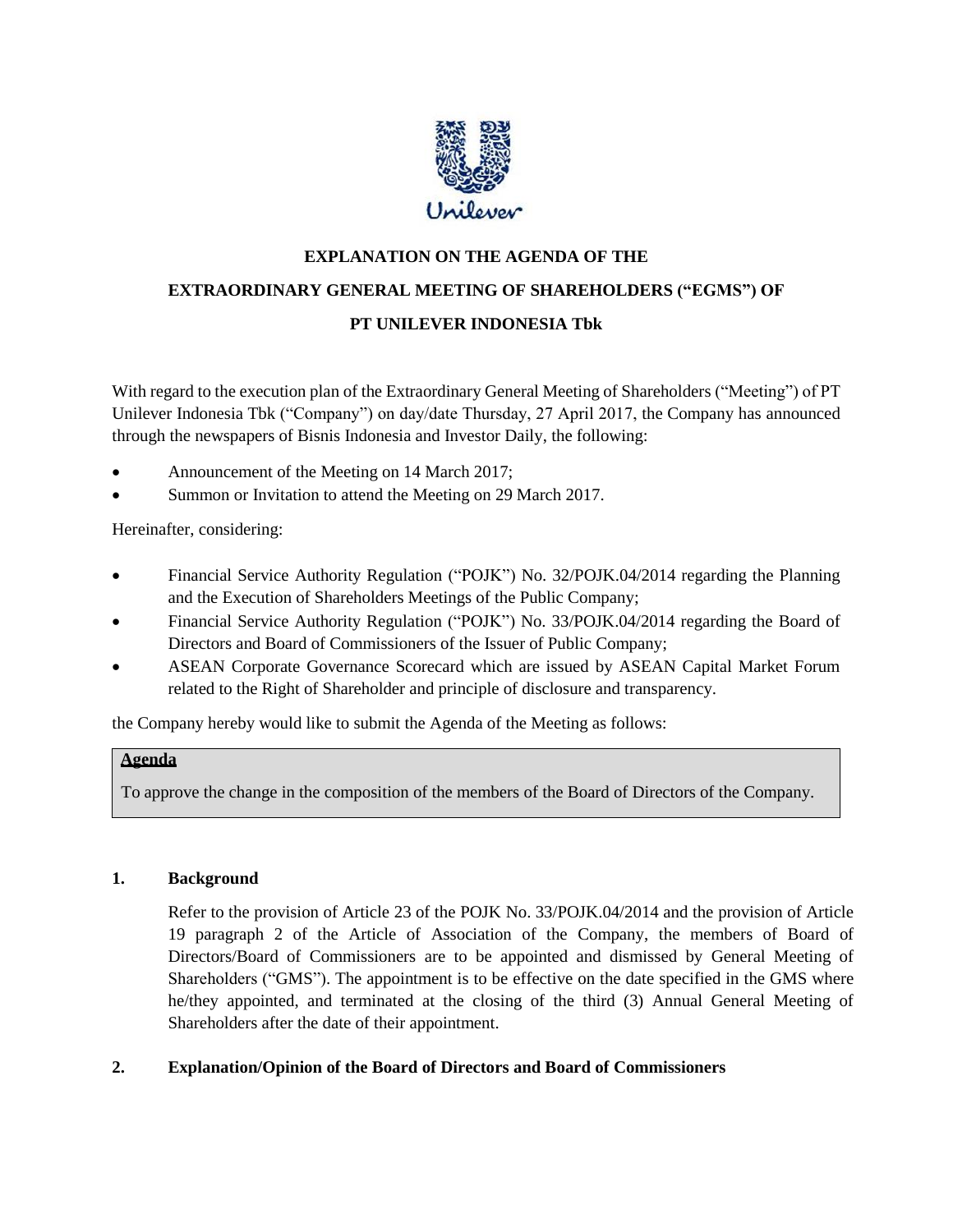

# **EXPLANATION ON THE AGENDA OF THE EXTRAORDINARY GENERAL MEETING OF SHAREHOLDERS ("EGMS") OF PT UNILEVER INDONESIA Tbk**

With regard to the execution plan of the Extraordinary General Meeting of Shareholders ("Meeting") of PT Unilever Indonesia Tbk ("Company") on day/date Thursday, 27 April 2017, the Company has announced through the newspapers of Bisnis Indonesia and Investor Daily, the following:

- Announcement of the Meeting on 14 March 2017;
- Summon or Invitation to attend the Meeting on 29 March 2017.

Hereinafter, considering:

- Financial Service Authority Regulation ("POJK") No. 32/POJK.04/2014 regarding the Planning and the Execution of Shareholders Meetings of the Public Company;
- Financial Service Authority Regulation ("POJK") No. 33/POJK.04/2014 regarding the Board of Directors and Board of Commissioners of the Issuer of Public Company;
- ASEAN Corporate Governance Scorecard which are issued by ASEAN Capital Market Forum related to the Right of Shareholder and principle of disclosure and transparency.

the Company hereby would like to submit the Agenda of the Meeting as follows:

## **Agenda**

To approve the change in the composition of the members of the Board of Directors of the Company.

## **1. Background**

Refer to the provision of Article 23 of the POJK No. 33/POJK.04/2014 and the provision of Article 19 paragraph 2 of the Article of Association of the Company, the members of Board of Directors/Board of Commissioners are to be appointed and dismissed by General Meeting of Shareholders ("GMS"). The appointment is to be effective on the date specified in the GMS where he/they appointed, and terminated at the closing of the third (3) Annual General Meeting of Shareholders after the date of their appointment.

## **2. Explanation/Opinion of the Board of Directors and Board of Commissioners**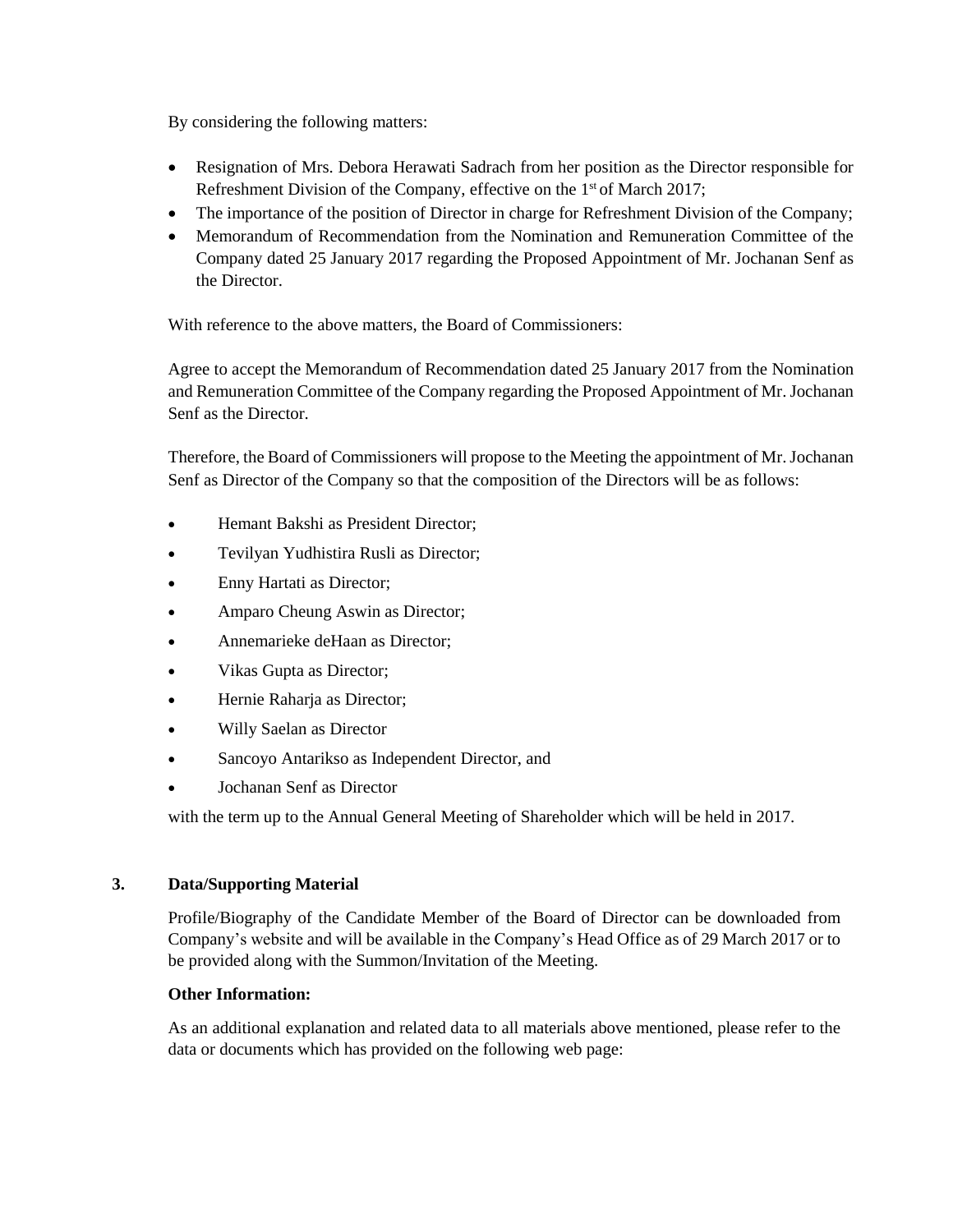By considering the following matters:

- Resignation of Mrs. Debora Herawati Sadrach from her position as the Director responsible for Refreshment Division of the Company, effective on the 1<sup>st</sup> of March 2017;
- The importance of the position of Director in charge for Refreshment Division of the Company;
- Memorandum of Recommendation from the Nomination and Remuneration Committee of the Company dated 25 January 2017 regarding the Proposed Appointment of Mr. Jochanan Senf as the Director.

With reference to the above matters, the Board of Commissioners:

Agree to accept the Memorandum of Recommendation dated 25 January 2017 from the Nomination and Remuneration Committee of the Company regarding the Proposed Appointment of Mr. Jochanan Senf as the Director.

Therefore, the Board of Commissioners will propose to the Meeting the appointment of Mr. Jochanan Senf as Director of the Company so that the composition of the Directors will be as follows:

- Hemant Bakshi as President Director;
- Tevilyan Yudhistira Rusli as Director;
- Enny Hartati as Director;
- Amparo Cheung Aswin as Director;
- Annemarieke deHaan as Director;
- Vikas Gupta as Director;
- Hernie Raharja as Director;
- Willy Saelan as Director
- Sancoyo Antarikso as Independent Director, and
- Jochanan Senf as Director

with the term up to the Annual General Meeting of Shareholder which will be held in 2017.

#### **3. Data/Supporting Material**

Profile/Biography of the Candidate Member of the Board of Director can be downloaded from Company's website and will be available in the Company's Head Office as of 29 March 2017 or to be provided along with the Summon/Invitation of the Meeting.

#### **Other Information:**

As an additional explanation and related data to all materials above mentioned, please refer to the data or documents which has provided on the following web page: